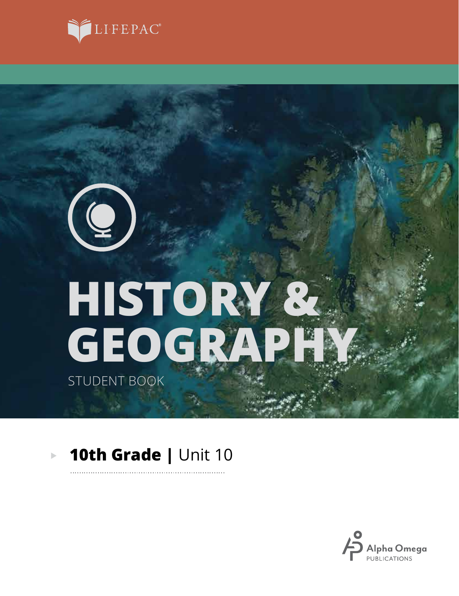

# **GEOGRAPHY HISTORY &**

STUDENT BOOK

 $\left( \begin{matrix} \mathbf{Q} \end{matrix} \right)$ 

### **10th Grade |** Unit 10 $\blacktriangleright$

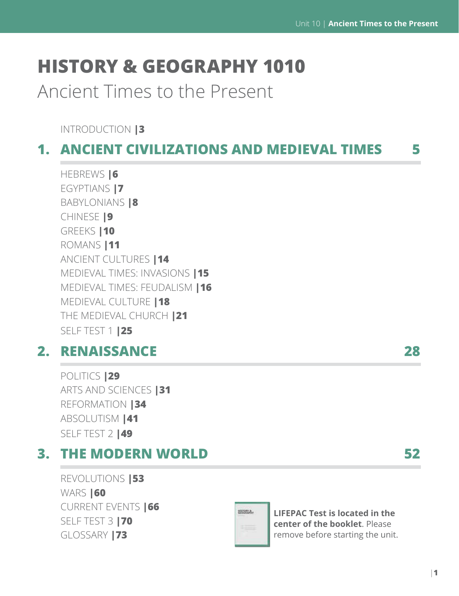# **HISTORY & GEOGRAPHY 1010**

Ancient Times to the Present

INTRODUCTION **|3**

### **1. ANCIENT CIVILIZATIONS AND MEDIEVAL TIMES 5**

HEBREWS **|6** EGYPTIANS **|7** BABYLONIANS **|8** CHINESE **|9** GREEKS **|10** ROMANS **|11** ANCIENT CULTURES **|14** MEDIEVAL TIMES: INVASIONS **|15** MEDIEVAL TIMES: FEUDALISM **|16** MEDIEVAL CULTURE **|18** THE MEDIEVAL CHURCH **|21** SELF TEST 1 **|25**

### **2. RENAISSANCE 28**

POLITICS **|29** ARTS AND SCIENCES **|31** REFORMATION **|34** ABSOLUTISM **|41** SELF TEST 2 **|49**

### **3. THE MODERN WORLD 52**

REVOLUTIONS **|53** WARS **|60** CURRENT EVENTS **|66** SELF TEST 3 **|70** GLOSSARY **|73**



**LIFEPAC Test is located in the center of the booklet**. Please remove before starting the unit.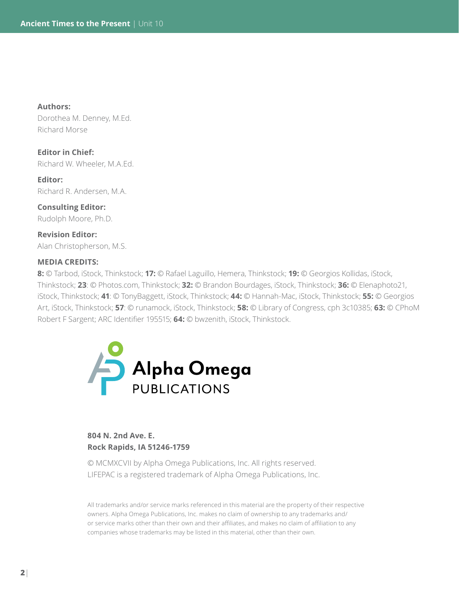**Authors:** 

Dorothea M. Denney, M.Ed. Richard Morse

**Editor in Chief:** Richard W. Wheeler, M.A.Ed.

**Editor:**  Richard R. Andersen, M.A.

**Consulting Editor:** Rudolph Moore, Ph.D.

**Revision Editor:**  Alan Christopherson, M.S.

### **MEDIA CREDITS:**

**8:** © Tarbod, iStock, Thinkstock; **17:** © Rafael Laguillo, Hemera, Thinkstock; **19:** © Georgios Kollidas, iStock, Thinkstock; **23**: © Photos.com, Thinkstock; **32:** © Brandon Bourdages, iStock, Thinkstock; **36:** © Elenaphoto21, iStock, Thinkstock; **41**: © TonyBaggett, iStock, Thinkstock; **44:** © Hannah-Mac, iStock, Thinkstock; **55:** © Georgios Art, iStock, Thinkstock; **57**: © runamock, iStock, Thinkstock; **58:** © Library of Congress, cph 3c10385; **63:** © CPhoM Robert F Sargent; ARC Identifier 195515; **64:** © bwzenith, iStock, Thinkstock.



### **804 N. 2nd Ave. E. Rock Rapids, IA 51246-1759**

© MCMXCVII by Alpha Omega Publications, Inc. All rights reserved. LIFEPAC is a registered trademark of Alpha Omega Publications, Inc.

All trademarks and/or service marks referenced in this material are the property of their respective owners. Alpha Omega Publications, Inc. makes no claim of ownership to any trademarks and/ or service marks other than their own and their affiliates, and makes no claim of affiliation to any companies whose trademarks may be listed in this material, other than their own.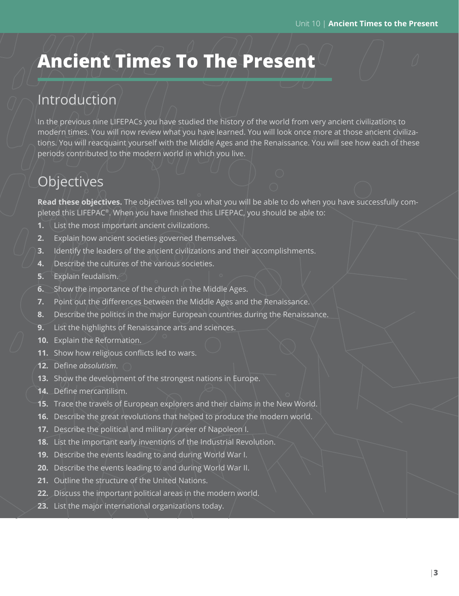# **Ancient Times To The Present**

### Introduction

In the previous nine LIFEPACs you have studied the history of the world from very ancient civilizations to modern times. You will now review what you have learned. You will look once more at those ancient civilizations. You will reacquaint yourself with the Middle Ages and the Renaissance. You will see how each of these periods contributed to the modern world in which you live.

## **Objectives**

**Read these objectives.** The objectives tell you what you will be able to do when you have successfully completed this LIFEPAC®. When you have finished this LIFEPAC, you should be able to:

- **1.** List the most important ancient civilizations.
- **2.** Explain how ancient societies governed themselves.
- **3.** Identify the leaders of the ancient civilizations and their accomplishments.
- **4.** Describe the cultures of the various societies.
- **5.** Explain feudalism.
- **6.** Show the importance of the church in the Middle Ages.
- **7.** Point out the differences between the Middle Ages and the Renaissance.
- **8.** Describe the politics in the major European countries during the Renaissance.
- **9.** List the highlights of Renaissance arts and sciences.
- **10.** Explain the Reformation.
- **11.** Show how religious conflicts led to wars.
- **12.** Define *absolutism*.
- **13.** Show the development of the strongest nations in Europe.
- **14.** Define mercantilism.
- **15.** Trace the travels of European explorers and their claims in the New World.
- **16.** Describe the great revolutions that helped to produce the modern world.
- **17.** Describe the political and military career of Napoleon I.
- **18.** List the important early inventions of the Industrial Revolution.
- **19.** Describe the events leading to and during World War I.
- **20.** Describe the events leading to and during World War II.
- **21.** Outline the structure of the United Nations.
- **22.** Discuss the important political areas in the modern world.
- **23.** List the major international organizations today.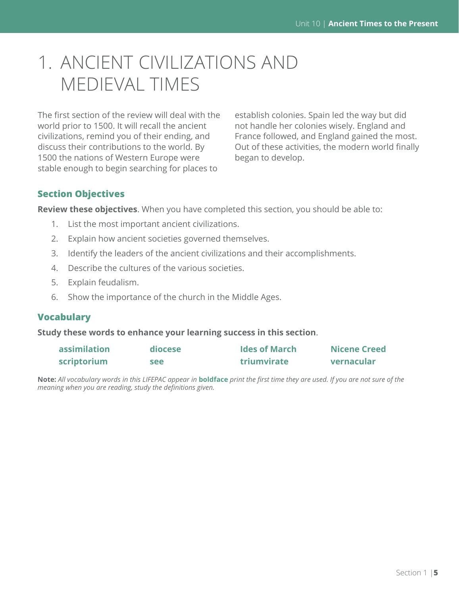# 1. ANCIENT CIVILIZATIONS AND MEDIEVAL TIMES

The first section of the review will deal with the world prior to 1500. It will recall the ancient civilizations, remind you of their ending, and discuss their contributions to the world. By 1500 the nations of Western Europe were stable enough to begin searching for places to

establish colonies. Spain led the way but did not handle her colonies wisely. England and France followed, and England gained the most. Out of these activities, the modern world finally began to develop.

### **Section Objectives**

**Review these objectives**. When you have completed this section, you should be able to:

- 1. List the most important ancient civilizations.
- 2. Explain how ancient societies governed themselves.
- 3. Identify the leaders of the ancient civilizations and their accomplishments.
- 4. Describe the cultures of the various societies.
- 5. Explain feudalism.
- 6. Show the importance of the church in the Middle Ages.

### **Vocabulary**

**Study these words to enhance your learning success in this section**.

| assimilation | diocese | <b>Ides of March</b> | <b>Nicene Creed</b> |
|--------------|---------|----------------------|---------------------|
| scriptorium  | see     | <b>triumvirate</b>   | vernacular          |

**Note:** *All vocabulary words in this LIFEPAC appear in* **boldface** *print the first time they are used. If you are not sure of the meaning when you are reading, study the definitions given.*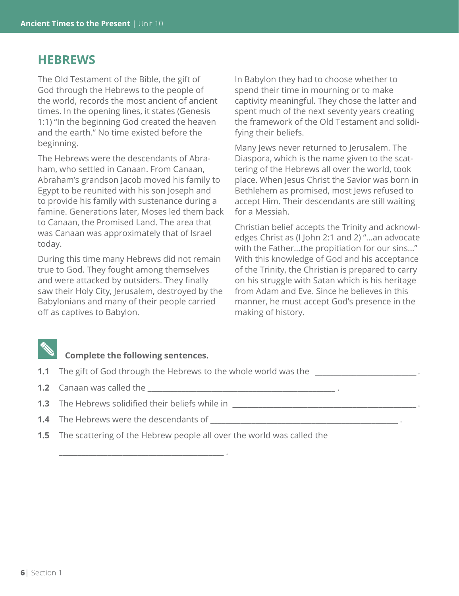### **HEBREWS**

The Old Testament of the Bible, the gift of God through the Hebrews to the people of the world, records the most ancient of ancient times. In the opening lines, it states (Genesis 1:1) "In the beginning God created the heaven and the earth." No time existed before the beginning.

The Hebrews were the descendants of Abraham, who settled in Canaan. From Canaan, Abraham's grandson Jacob moved his family to Egypt to be reunited with his son Joseph and to provide his family with sustenance during a famine. Generations later, Moses led them back to Canaan, the Promised Land. The area that was Canaan was approximately that of Israel today.

During this time many Hebrews did not remain true to God. They fought among themselves and were attacked by outsiders. They finally saw their Holy City, Jerusalem, destroyed by the Babylonians and many of their people carried off as captives to Babylon.

In Babylon they had to choose whether to spend their time in mourning or to make captivity meaningful. They chose the latter and spent much of the next seventy years creating the framework of the Old Testament and solidifying their beliefs.

Many Jews never returned to Jerusalem. The Diaspora, which is the name given to the scattering of the Hebrews all over the world, took place. When Jesus Christ the Savior was born in Bethlehem as promised, most Jews refused to accept Him. Their descendants are still waiting for a Messiah.

Christian belief accepts the Trinity and acknowledges Christ as (I John 2:1 and 2) "…an advocate with the Father…the propitiation for our sins…" With this knowledge of God and his acceptance of the Trinity, the Christian is prepared to carry on his struggle with Satan which is his heritage from Adam and Eve. Since he believes in this manner, he must accept God's presence in the making of history.

### **Complete the following sentences.**

- **1.1** The gift of God through the Hebrews to the whole world was the
- **1.2** Canaan was called the **and the set of the contract of the set of the set of the set of the set of the set of the set of the set of the set of the set of the set of the set of the set of the set of the set of the set**
- **1.3** The Hebrews solidified their beliefs while in

\_\_\_\_\_\_\_\_\_\_\_\_\_\_\_\_\_\_\_\_\_\_\_\_\_\_\_\_\_\_\_\_\_\_\_\_\_\_\_\_\_\_\_\_ .

- **1.4** The Hebrews were the descendants of
- **1.5** The scattering of the Hebrew people all over the world was called the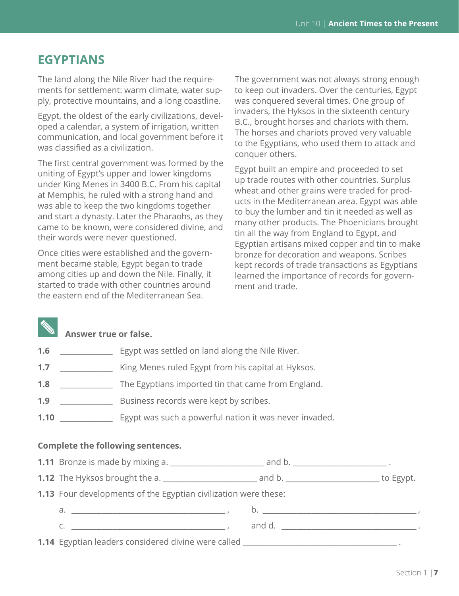### **EGYPTIANS**

The land along the Nile River had the requirements for settlement: warm climate, water supply, protective mountains, and a long coastline.

Egypt, the oldest of the early civilizations, developed a calendar, a system of irrigation, written communication, and local government before it was classified as a civilization.

The first central government was formed by the uniting of Egypt's upper and lower kingdoms under King Menes in 3400 B.C. From his capital at Memphis, he ruled with a strong hand and was able to keep the two kingdoms together and start a dynasty. Later the Pharaohs, as they came to be known, were considered divine, and their words were never questioned.

Once cities were established and the government became stable, Egypt began to trade among cities up and down the Nile. Finally, it started to trade with other countries around the eastern end of the Mediterranean Sea.

The government was not always strong enough to keep out invaders. Over the centuries, Egypt was conquered several times. One group of invaders, the Hyksos in the sixteenth century B.C., brought horses and chariots with them. The horses and chariots proved very valuable to the Egyptians, who used them to attack and conquer others.

Egypt built an empire and proceeded to set up trade routes with other countries. Surplus wheat and other grains were traded for products in the Mediterranean area. Egypt was able to buy the lumber and tin it needed as well as many other products. The Phoenicians brought tin all the way from England to Egypt, and Egyptian artisans mixed copper and tin to make bronze for decoration and weapons. Scribes kept records of trade transactions as Egyptians learned the importance of records for government and trade.

### **Answer true or false.**

- **1.6 \_\_\_\_\_\_\_\_\_\_\_\_\_\_\_\_** Egypt was settled on land along the Nile River.
- **1.7** \_\_\_\_\_\_\_\_\_\_\_\_\_\_ King Menes ruled Egypt from his capital at Hyksos.
- **1.8** \_\_\_\_\_\_\_\_\_\_\_\_\_\_ The Egyptians imported tin that came from England.
- **1.9** \_\_\_\_\_\_\_\_\_\_\_\_\_\_ Business records were kept by scribes.
- **1.10** \_\_\_\_\_\_\_\_\_\_\_\_\_\_ Egypt was such a powerful nation it was never invaded.

### **Complete the following sentences.**

|  | <b>1.11</b> Bronze is made by mixing a. |  |  |
|--|-----------------------------------------|--|--|
|--|-----------------------------------------|--|--|

**1.12** The Hyksos brought the a. \_\_\_\_\_\_\_\_\_\_\_\_\_\_\_\_\_\_\_\_\_\_\_\_\_ and b. \_\_\_\_\_\_\_\_\_\_\_\_\_\_\_\_\_\_\_\_\_\_\_\_\_ to Egypt.

**1.13** Four developments of the Egyptian civilization were these:

a. \_\_\_\_\_\_\_\_\_\_\_\_\_\_\_\_\_\_\_\_\_\_\_\_\_\_\_\_\_\_\_\_\_\_\_\_\_\_\_\_\_ , b. \_\_\_\_\_\_\_\_\_\_\_\_\_\_\_\_\_\_\_\_\_\_\_\_\_\_\_\_\_\_\_\_\_\_\_\_\_\_\_\_\_ ,

c. \_\_\_\_\_\_\_\_\_\_\_\_\_\_\_\_\_\_\_\_\_\_\_\_\_\_\_\_\_\_\_\_\_\_\_\_\_\_\_\_\_ , and d. \_\_\_\_\_\_\_\_\_\_\_\_\_\_\_\_\_\_\_\_\_\_\_\_\_\_\_\_\_\_\_\_\_\_\_\_ .

**1.14** Egyptian leaders considered divine were called \_\_\_\_\_\_\_\_\_\_\_\_\_\_\_\_\_\_\_\_\_\_\_\_\_\_\_\_\_\_\_\_\_\_\_\_\_\_\_\_\_ .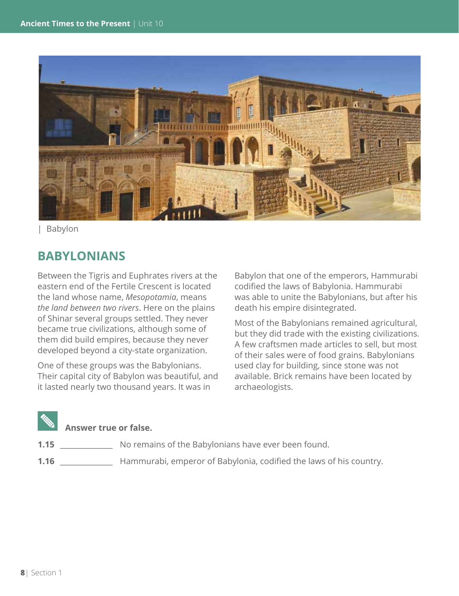

| Babylon

### **BABYLONIANS**

Between the Tigris and Euphrates rivers at the eastern end of the Fertile Crescent is located the land whose name, *Mesopotamia*, means *the land between two rivers*. Here on the plains of Shinar several groups settled. They never became true civilizations, although some of them did build empires, because they never developed beyond a city-state organization.

One of these groups was the Babylonians. Their capital city of Babylon was beautiful, and it lasted nearly two thousand years. It was in

Babylon that one of the emperors, Hammurabi codified the laws of Babylonia. Hammurabi was able to unite the Babylonians, but after his death his empire disintegrated.

Most of the Babylonians remained agricultural, but they did trade with the existing civilizations. A few craftsmen made articles to sell, but most of their sales were of food grains. Babylonians used clay for building, since stone was not available. Brick remains have been located by archaeologists.

### **Answer true or false.**

- **1.15** No remains of the Babylonians have ever been found.
- **1.16** \_\_\_\_\_\_\_\_\_\_\_\_\_\_ Hammurabi, emperor of Babylonia, codified the laws of his country.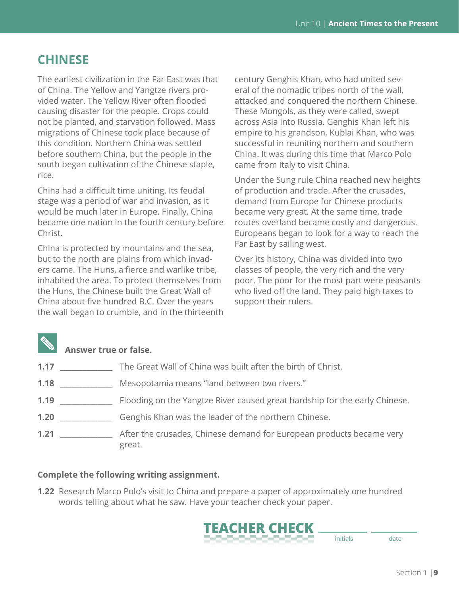### **CHINESE**

The earliest civilization in the Far East was that of China. The Yellow and Yangtze rivers provided water. The Yellow River often flooded causing disaster for the people. Crops could not be planted, and starvation followed. Mass migrations of Chinese took place because of this condition. Northern China was settled before southern China, but the people in the south began cultivation of the Chinese staple, rice.

China had a difficult time uniting. Its feudal stage was a period of war and invasion, as it would be much later in Europe. Finally, China became one nation in the fourth century before Christ.

China is protected by mountains and the sea, but to the north are plains from which invaders came. The Huns, a fierce and warlike tribe, inhabited the area. To protect themselves from the Huns, the Chinese built the Great Wall of China about five hundred B.C. Over the years the wall began to crumble, and in the thirteenth

century Genghis Khan, who had united several of the nomadic tribes north of the wall, attacked and conquered the northern Chinese. These Mongols, as they were called, swept across Asia into Russia. Genghis Khan left his empire to his grandson, Kublai Khan, who was successful in reuniting northern and southern China. It was during this time that Marco Polo came from Italy to visit China.

Under the Sung rule China reached new heights of production and trade. After the crusades, demand from Europe for Chinese products became very great. At the same time, trade routes overland became costly and dangerous. Europeans began to look for a way to reach the Far East by sailing west.

Over its history, China was divided into two classes of people, the very rich and the very poor. The poor for the most part were peasants who lived off the land. They paid high taxes to support their rulers.

### **Answer true or false.**

| 1.17 | The Great Wall of China was built after the birth of Christ.                   |
|------|--------------------------------------------------------------------------------|
| 1.18 | Mesopotamia means "land between two rivers."                                   |
| 1.19 | Flooding on the Yangtze River caused great hardship for the early Chinese.     |
| 1.20 | Genghis Khan was the leader of the northern Chinese.                           |
| 1.21 | After the crusades, Chinese demand for European products became very<br>great. |

### **Complete the following writing assignment.**

**1.22** Research Marco Polo's visit to China and prepare a paper of approximately one hundred words telling about what he saw. Have your teacher check your paper.

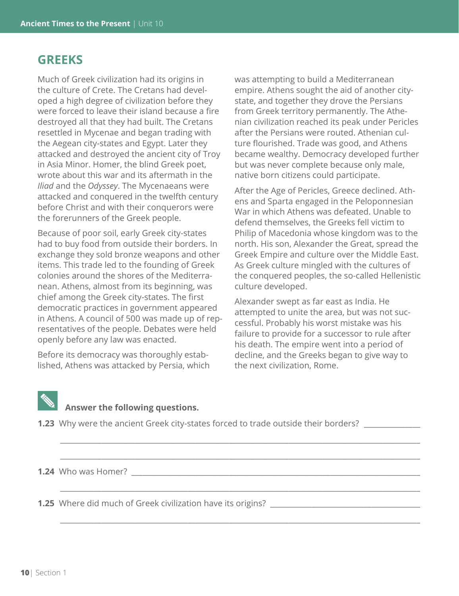### **GREEKS**

Much of Greek civilization had its origins in the culture of Crete. The Cretans had developed a high degree of civilization before they were forced to leave their island because a fire destroyed all that they had built. The Cretans resettled in Mycenae and began trading with the Aegean city-states and Egypt. Later they attacked and destroyed the ancient city of Troy in Asia Minor. Homer, the blind Greek poet, wrote about this war and its aftermath in the *Iliad* and the *Odyssey*. The Mycenaeans were attacked and conquered in the twelfth century before Christ and with their conquerors were the forerunners of the Greek people.

Because of poor soil, early Greek city-states had to buy food from outside their borders. In exchange they sold bronze weapons and other items. This trade led to the founding of Greek colonies around the shores of the Mediterranean. Athens, almost from its beginning, was chief among the Greek city-states. The first democratic practices in government appeared in Athens. A council of 500 was made up of representatives of the people. Debates were held openly before any law was enacted.

Before its democracy was thoroughly established, Athens was attacked by Persia, which was attempting to build a Mediterranean empire. Athens sought the aid of another citystate, and together they drove the Persians from Greek territory permanently. The Athenian civilization reached its peak under Pericles after the Persians were routed. Athenian culture flourished. Trade was good, and Athens became wealthy. Democracy developed further but was never complete because only male, native born citizens could participate.

After the Age of Pericles, Greece declined. Athens and Sparta engaged in the Peloponnesian War in which Athens was defeated. Unable to defend themselves, the Greeks fell victim to Philip of Macedonia whose kingdom was to the north. His son, Alexander the Great, spread the Greek Empire and culture over the Middle East. As Greek culture mingled with the cultures of the conquered peoples, the so-called Hellenistic culture developed.

Alexander swept as far east as India. He attempted to unite the area, but was not successful. Probably his worst mistake was his failure to provide for a successor to rule after his death. The empire went into a period of decline, and the Greeks began to give way to the next civilization, Rome.



### **Answer the following questions.**

**1.23** Why were the ancient Greek city-states forced to trade outside their borders? \_\_\_\_\_\_\_\_\_\_\_\_\_\_\_

\_\_\_\_\_\_\_\_\_\_\_\_\_\_\_\_\_\_\_\_\_\_\_\_\_\_\_\_\_\_\_\_\_\_\_\_\_\_\_\_\_\_\_\_\_\_\_\_\_\_\_\_\_\_\_\_\_\_\_\_\_\_\_\_\_\_\_\_\_\_\_\_\_\_\_\_\_\_\_\_\_\_\_\_\_\_\_\_\_\_\_\_\_\_\_\_

\_\_\_\_\_\_\_\_\_\_\_\_\_\_\_\_\_\_\_\_\_\_\_\_\_\_\_\_\_\_\_\_\_\_\_\_\_\_\_\_\_\_\_\_\_\_\_\_\_\_\_\_\_\_\_\_\_\_\_\_\_\_\_\_\_\_\_\_\_\_\_\_\_\_\_\_\_\_\_\_\_\_\_\_\_\_\_\_\_\_\_\_\_\_\_\_

 $\_$  ,  $\_$  ,  $\_$  ,  $\_$  ,  $\_$  ,  $\_$  ,  $\_$  ,  $\_$  ,  $\_$  ,  $\_$  ,  $\_$  ,  $\_$  ,  $\_$  ,  $\_$  ,  $\_$  ,  $\_$  ,  $\_$  ,  $\_$  ,  $\_$  ,  $\_$  ,  $\_$  ,  $\_$  ,  $\_$  ,  $\_$  ,  $\_$  ,  $\_$  ,  $\_$  ,  $\_$  ,  $\_$  ,  $\_$  ,  $\_$  ,  $\_$  ,  $\_$  ,  $\_$  ,  $\_$  ,  $\_$  ,  $\_$  ,

 $\_$  ,  $\_$  ,  $\_$  ,  $\_$  ,  $\_$  ,  $\_$  ,  $\_$  ,  $\_$  ,  $\_$  ,  $\_$  ,  $\_$  ,  $\_$  ,  $\_$  ,  $\_$  ,  $\_$  ,  $\_$  ,  $\_$  ,  $\_$  ,  $\_$  ,  $\_$  ,  $\_$  ,  $\_$  ,  $\_$  ,  $\_$  ,  $\_$  ,  $\_$  ,  $\_$  ,  $\_$  ,  $\_$  ,  $\_$  ,  $\_$  ,  $\_$  ,  $\_$  ,  $\_$  ,  $\_$  ,  $\_$  ,  $\_$  ,

**1.24** Who was Homer?

**1.25** Where did much of Greek civilization have its origins? \_\_\_\_\_\_\_\_\_\_\_\_\_\_\_\_\_\_\_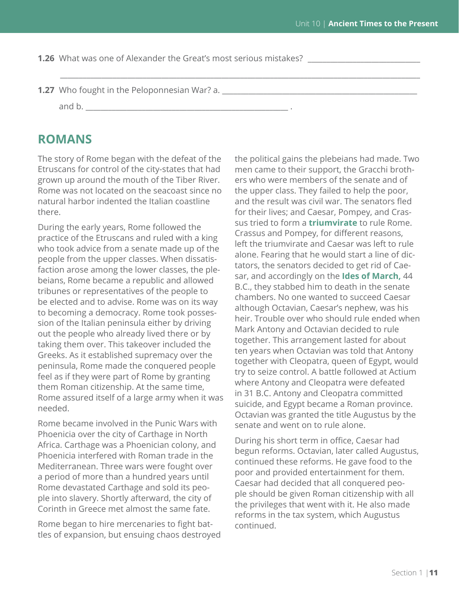**1.26** What was one of Alexander the Great's most serious mistakes?

\_\_\_\_\_\_\_\_\_\_\_\_\_\_\_\_\_\_\_\_\_\_\_\_\_\_\_\_\_\_\_\_\_\_\_\_\_\_\_\_\_\_\_\_\_\_\_\_\_\_\_\_\_\_\_\_\_\_\_\_\_\_\_\_\_\_\_\_\_\_\_\_\_\_\_\_\_\_\_\_\_\_\_\_\_\_\_\_\_\_\_\_\_\_\_\_

**1.27** Who fought in the Peloponnesian War? a. \_\_\_\_\_\_\_\_\_\_\_\_\_\_\_\_\_\_\_\_\_\_\_\_\_\_\_\_\_\_\_\_\_\_

and b. \_\_\_\_\_\_\_\_\_\_\_\_\_\_\_\_\_\_\_\_\_\_\_\_\_\_\_\_\_\_\_\_\_\_\_\_\_\_\_\_\_\_\_\_\_\_\_\_\_\_\_\_\_\_ .

### **ROMANS**

The story of Rome began with the defeat of the Etruscans for control of the city-states that had grown up around the mouth of the Tiber River. Rome was not located on the seacoast since no natural harbor indented the Italian coastline there.

During the early years, Rome followed the practice of the Etruscans and ruled with a king who took advice from a senate made up of the people from the upper classes. When dissatisfaction arose among the lower classes, the plebeians, Rome became a republic and allowed tribunes or representatives of the people to be elected and to advise. Rome was on its way to becoming a democracy. Rome took possession of the Italian peninsula either by driving out the people who already lived there or by taking them over. This takeover included the Greeks. As it established supremacy over the peninsula, Rome made the conquered people feel as if they were part of Rome by granting them Roman citizenship. At the same time, Rome assured itself of a large army when it was needed.

Rome became involved in the Punic Wars with Phoenicia over the city of Carthage in North Africa. Carthage was a Phoenician colony, and Phoenicia interfered with Roman trade in the Mediterranean. Three wars were fought over a period of more than a hundred years until Rome devastated Carthage and sold its people into slavery. Shortly afterward, the city of Corinth in Greece met almost the same fate.

Rome began to hire mercenaries to fight battles of expansion, but ensuing chaos destroyed the political gains the plebeians had made. Two men came to their support, the Gracchi brothers who were members of the senate and of the upper class. They failed to help the poor, and the result was civil war. The senators fled for their lives; and Caesar, Pompey, and Crassus tried to form a **triumvirate** to rule Rome. Crassus and Pompey, for different reasons, left the triumvirate and Caesar was left to rule alone. Fearing that he would start a line of dictators, the senators decided to get rid of Caesar, and accordingly on the **Ides of March,** 44 B.C., they stabbed him to death in the senate chambers. No one wanted to succeed Caesar although Octavian, Caesar's nephew, was his heir. Trouble over who should rule ended when Mark Antony and Octavian decided to rule together. This arrangement lasted for about ten years when Octavian was told that Antony together with Cleopatra, queen of Egypt, would try to seize control. A battle followed at Actium where Antony and Cleopatra were defeated in 31 B.C. Antony and Cleopatra committed suicide, and Egypt became a Roman province. Octavian was granted the title Augustus by the senate and went on to rule alone.

During his short term in office, Caesar had begun reforms. Octavian, later called Augustus, continued these reforms. He gave food to the poor and provided entertainment for them. Caesar had decided that all conquered people should be given Roman citizenship with all the privileges that went with it. He also made reforms in the tax system, which Augustus continued.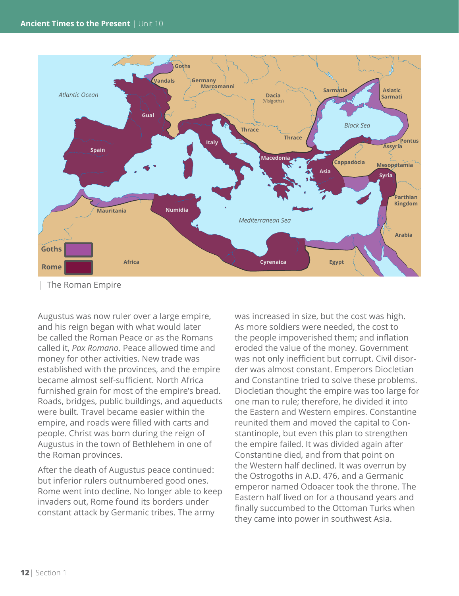

| The Roman Empire

Augustus was now ruler over a large empire, and his reign began with what would later be called the Roman Peace or as the Romans called it, *Pax Romano*. Peace allowed time and money for other activities. New trade was established with the provinces, and the empire became almost self-sufficient. North Africa furnished grain for most of the empire's bread. Roads, bridges, public buildings, and aqueducts were built. Travel became easier within the empire, and roads were filled with carts and people. Christ was born during the reign of Augustus in the town of Bethlehem in one of the Roman provinces.

After the death of Augustus peace continued: but inferior rulers outnumbered good ones. Rome went into decline. No longer able to keep invaders out, Rome found its borders under constant attack by Germanic tribes. The army

was increased in size, but the cost was high. As more soldiers were needed, the cost to the people impoverished them; and inflation eroded the value of the money. Government was not only inefficient but corrupt. Civil disorder was almost constant. Emperors Diocletian and Constantine tried to solve these problems. Diocletian thought the empire was too large for one man to rule; therefore, he divided it into the Eastern and Western empires. Constantine reunited them and moved the capital to Constantinople, but even this plan to strengthen the empire failed. It was divided again after Constantine died, and from that point on the Western half declined. It was overrun by the Ostrogoths in A.D. 476, and a Germanic emperor named Odoacer took the throne. The Eastern half lived on for a thousand years and finally succumbed to the Ottoman Turks when they came into power in southwest Asia.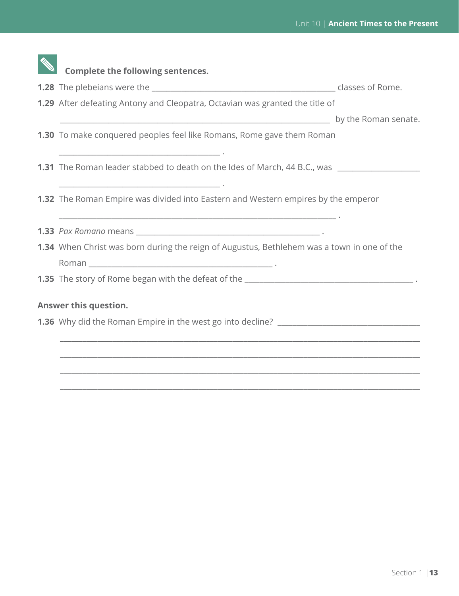| <b>Complete the following sentences.</b>                                                                                                                                                                         |  |
|------------------------------------------------------------------------------------------------------------------------------------------------------------------------------------------------------------------|--|
|                                                                                                                                                                                                                  |  |
| 1.29 After defeating Antony and Cleopatra, Octavian was granted the title of                                                                                                                                     |  |
|                                                                                                                                                                                                                  |  |
| <b>1.30</b> To make conquered peoples feel like Romans, Rome gave them Roman                                                                                                                                     |  |
| <u> 1989 - Johann John Stein, mars an der stein am der stein am der stein am der stein am der stein am der stein</u><br>1.31 The Roman leader stabbed to death on the Ides of March, 44 B.C., was ______________ |  |
| <b>1.32</b> The Roman Empire was divided into Eastern and Western empires by the emperor                                                                                                                         |  |
|                                                                                                                                                                                                                  |  |
| 1.34 When Christ was born during the reign of Augustus, Bethlehem was a town in one of the                                                                                                                       |  |
|                                                                                                                                                                                                                  |  |
| 1.35 The story of Rome began with the defeat of the _____________________________                                                                                                                                |  |
| Answer this question.                                                                                                                                                                                            |  |
| 1.36 Why did the Roman Empire in the west go into decline? ______________________                                                                                                                                |  |
|                                                                                                                                                                                                                  |  |
|                                                                                                                                                                                                                  |  |
|                                                                                                                                                                                                                  |  |

\_\_\_\_\_\_\_\_\_\_\_\_\_\_\_\_\_\_\_\_\_\_\_\_\_\_\_\_\_\_\_\_\_\_\_\_\_\_\_\_\_\_\_\_\_\_\_\_\_\_\_\_\_\_\_\_\_\_\_\_\_\_\_\_\_\_\_\_\_\_\_\_\_\_\_\_\_\_\_\_\_\_\_\_\_\_\_\_\_\_\_\_\_\_\_\_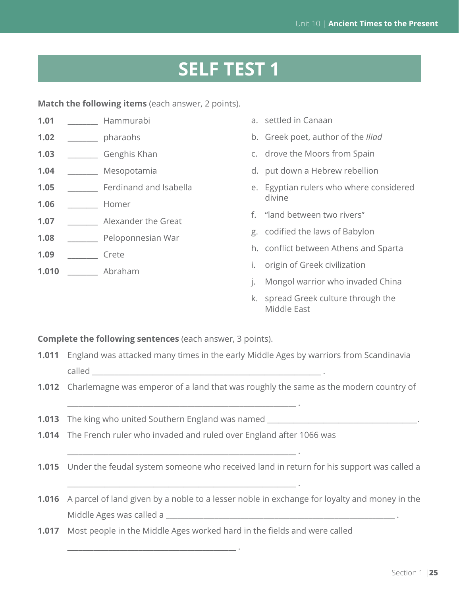# **SELF TEST 1**

**Match the following items** (each answer, 2 points).

| Hammurabi              | a. settled in Canaan                    |
|------------------------|-----------------------------------------|
| pharaohs               | b. Greek poet, author of the Iliad      |
| Genghis Khan           | c. drove the Moors from Spain           |
| Mesopotamia            | d. put down a Hebrew rebellion          |
| Ferdinand and Isabella | e. Egyptian rulers who where considered |
| Homer                  | divine                                  |
| Alexander the Great    | "land between two rivers"<br>f.         |
|                        | g. codified the laws of Babylon         |
|                        | h. conflict between Athens and Sparta   |
| Abraham                | origin of Greek civilization<br>İ.      |
|                        | Peloponnesian War<br>Crete              |

- j. Mongol warrior who invaded China
- k. spread Greek culture through the Middle East

**Complete the following sentences** (each answer, 3 points).

- **1.011** England was attacked many times in the early Middle Ages by warriors from Scandinavia called  $\Box$
- **1.012** Charlemagne was emperor of a land that was roughly the same as the modern country of
- **1.013** The king who united Southern England was named \_\_\_\_\_\_\_\_\_\_\_\_\_\_\_\_\_\_\_\_\_\_\_\_\_\_\_

\_\_\_\_\_\_\_\_\_\_\_\_\_\_\_\_\_\_\_\_\_\_\_\_\_\_\_\_\_\_\_\_\_\_\_\_\_\_\_\_\_\_\_\_\_ .

**1.014** The French ruler who invaded and ruled over England after 1066 was

\_\_\_\_\_\_\_\_\_\_\_\_\_\_\_\_\_\_\_\_\_\_\_\_\_\_\_\_\_\_\_\_\_\_\_\_\_\_\_\_\_\_\_\_\_\_\_\_\_\_\_\_\_\_\_\_\_\_\_\_\_ .

\_\_\_\_\_\_\_\_\_\_\_\_\_\_\_\_\_\_\_\_\_\_\_\_\_\_\_\_\_\_\_\_\_\_\_\_\_\_\_\_\_\_\_\_\_\_\_\_\_\_\_\_\_\_\_\_\_\_\_\_\_ .

\_\_\_\_\_\_\_\_\_\_\_\_\_\_\_\_\_\_\_\_\_\_\_\_\_\_\_\_\_\_\_\_\_\_\_\_\_\_\_\_\_\_\_\_\_\_\_\_\_\_\_\_\_\_\_\_\_\_\_\_\_ .

- **1.015** Under the feudal system someone who received land in return for his support was called a
- **1.016** A parcel of land given by a noble to a lesser noble in exchange for loyalty and money in the Middle Ages was called a \_\_\_\_\_\_\_\_\_\_\_\_\_\_\_\_\_\_\_\_\_\_\_\_\_\_\_\_\_\_\_\_\_\_\_\_\_\_\_\_\_\_\_\_\_\_\_\_\_\_\_\_\_\_\_\_\_\_\_\_\_ .
- **1.017** Most people in the Middle Ages worked hard in the fields and were called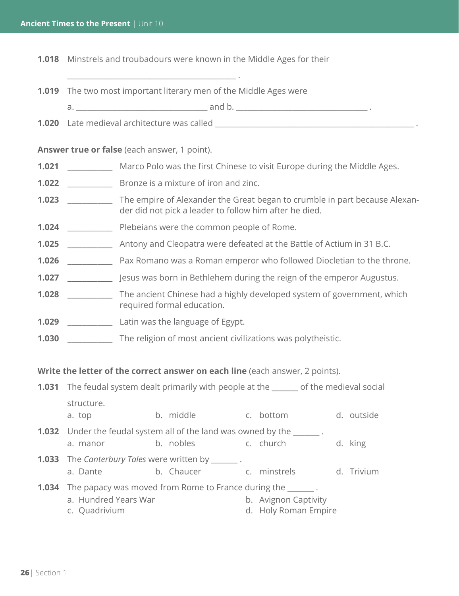**1.018** Minstrels and troubadours were known in the Middle Ages for their

**1.019** The two most important literary men of the Middle Ages were

\_\_\_\_\_\_\_\_\_\_\_\_\_\_\_\_\_\_\_\_\_\_\_\_\_\_\_\_\_\_\_\_\_\_\_\_\_\_\_\_\_\_\_\_\_ .

a. \_\_\_\_\_\_\_\_\_\_\_\_\_\_\_\_\_\_\_\_\_\_\_\_\_\_\_\_\_\_\_\_\_\_\_ and b. \_\_\_\_\_\_\_\_\_\_\_\_\_\_\_\_\_\_\_\_\_\_\_\_\_\_\_\_\_\_\_\_\_\_\_ .

**1.020** Late medieval architecture was called **Late and Late and Late and Late and Late** 

**Answer true or false** (each answer, 1 point).

- **1.021** \_\_\_\_\_\_\_\_\_\_\_\_ Marco Polo was the first Chinese to visit Europe during the Middle Ages.
- **1.022** \_\_\_\_\_\_\_\_\_\_\_\_ Bronze is a mixture of iron and zinc.
- **1.023** \_\_\_\_\_\_\_\_\_\_\_\_ The empire of Alexander the Great began to crumble in part because Alexander did not pick a leader to follow him after he died.
- **1.024** \_\_\_\_\_\_\_\_\_\_\_\_ Plebeians were the common people of Rome.
- **1.025** \_\_\_\_\_\_\_\_\_\_\_\_ Antony and Cleopatra were defeated at the Battle of Actium in 31 B.C.
- **1.026** Pax Romano was a Roman emperor who followed Diocletian to the throne.
- **1.027** \_\_\_\_\_\_\_\_\_\_\_\_ Jesus was born in Bethlehem during the reign of the emperor Augustus.
- **1.028** \_\_\_\_\_\_\_\_\_\_\_\_\_ The ancient Chinese had a highly developed system of government, which required formal education.
- **1.029** \_\_\_\_\_\_\_\_\_\_\_\_ Latin was the language of Egypt.
- **1.030** \_\_\_\_\_\_\_\_\_\_\_\_ The religion of most ancient civilizations was polytheistic.

**Write the letter of the correct answer on each line** (each answer, 2 points).

| <b>1.031</b> The feudal system dealt primarily with people at the <u>same</u> of the medieval social |                                                                                             |                                              |            |  |
|------------------------------------------------------------------------------------------------------|---------------------------------------------------------------------------------------------|----------------------------------------------|------------|--|
| structure.<br>a. top                                                                                 | b. middle                                                                                   | c. bottom                                    | d. outside |  |
| a. manor                                                                                             | <b>1.032</b> Under the feudal system all of the land was owned by the _______.<br>b. nobles | c. church                                    | d. king    |  |
| a. Dante                                                                                             | <b>1.033</b> The Canterbury Tales were written by _______.<br>b. Chaucer c. minstrels       |                                              | d. Trivium |  |
| a. Hundred Years War<br>c. Quadrivium                                                                | <b>1.034</b> The papacy was moved from Rome to France during the _______.                   | b. Avignon Captivity<br>d. Holy Roman Empire |            |  |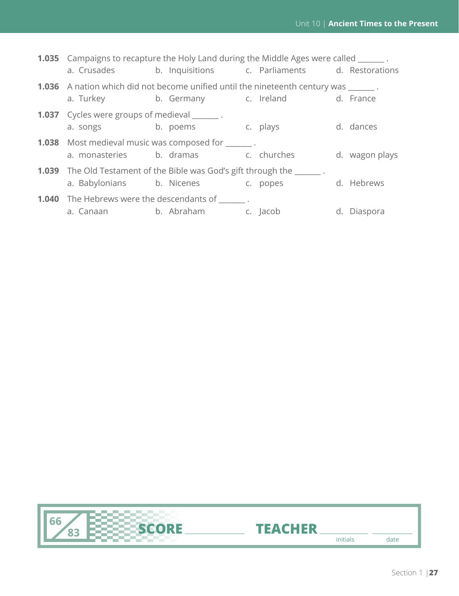| <b>1.035</b> Campaigns to recapture the Holy Land during the Middle Ages were called _______.      |  |                                                                                                                                           |                |
|----------------------------------------------------------------------------------------------------|--|-------------------------------------------------------------------------------------------------------------------------------------------|----------------|
|                                                                                                    |  | a. Crusades b. Inquisitions c. Parliaments d. Restorations                                                                                |                |
|                                                                                                    |  | <b>1.036</b> A nation which did not become unified until the nineteenth century was _______.<br>a. Turkey b. Germany c. Ireland d. France |                |
| <b>1.037</b> Cycles were groups of medieval _______.<br>a. songs b. poems c. plays                 |  |                                                                                                                                           | d. dances      |
| <b>1.038</b> Most medieval music was composed for _______.<br>a. monasteries b. dramas c. churches |  |                                                                                                                                           | d. wagon plays |
| a. Babylonians b. Nicenes c. popes                                                                 |  | <b>1.039</b> The Old Testament of the Bible was God's gift through the                                                                    | d. Hebrews     |
| <b>1.040</b> The Hebrews were the descendants of .<br>a. Canaan b. Abraham c. Jacob                |  |                                                                                                                                           | d. Diaspora    |
|                                                                                                    |  |                                                                                                                                           |                |